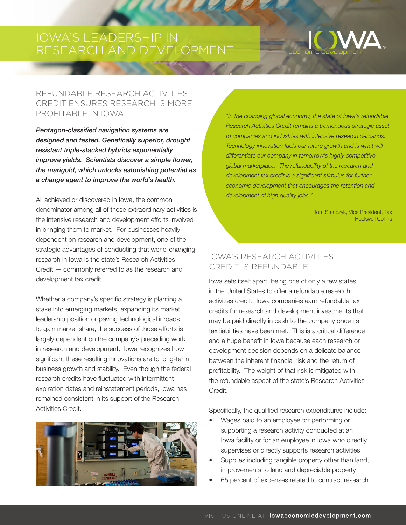# IOWA'S LEADERSHIP IN RESEARCH AND DEVELOPMENT

# REFUNDABLE RESEARCH ACTIVITIES CREDIT ENSURES RESEARCH IS MORE PROFITABLE IN IOWA

*Pentagon-classified navigation systems are designed and tested. Genetically superior, drought resistant triple-stacked hybrids exponentially improve yields. Scientists discover a simple flower, the marigold, which unlocks astonishing potential as a change agent to improve the world's health.*

All achieved or discovered in Iowa, the common denominator among all of these extraordinary activities is the intensive research and development efforts involved in bringing them to market. For businesses heavily dependent on research and development, one of the strategic advantages of conducting that world-changing research in Iowa is the state's Research Activities Credit — commonly referred to as the research and development tax credit.

Whether a company's specific strategy is planting a stake into emerging markets, expanding its market leadership position or paving technological inroads to gain market share, the success of those efforts is largely dependent on the company's preceding work in research and development. Iowa recognizes how significant these resulting innovations are to long-term business growth and stability. Even though the federal research credits have fluctuated with intermittent expiration dates and reinstatement periods, Iowa has remained consistent in its support of the Research Activities Credit.



*"In the changing global economy, the state of Iowa's refundable Research Activities Credit remains a tremendous strategic asset to companies and industries with intensive research demands. Technology innovation fuels our future growth and is what will differentiate our company in tomorrow's highly competitive global marketplace. The refundability of the research and development tax credit is a significant stimulus for further economic development that encourages the retention and development of high quality jobs."*

> Tom Stanczyk, Vice President, Tax Rockwell Collins

# IOWA'S RESEARCH ACTIVITIES CREDIT IS REFUNDABLE

Iowa sets itself apart, being one of only a few states in the United States to offer a refundable research activities credit. Iowa companies earn refundable tax credits for research and development investments that may be paid directly in cash to the company once its tax liabilities have been met. This is a critical difference and a huge benefit in Iowa because each research or development decision depends on a delicate balance between the inherent financial risk and the return of profitability. The weight of that risk is mitigated with the refundable aspect of the state's Research Activities Credit.

Specifically, the qualified research expenditures include:

- Wages paid to an employee for performing or supporting a research activity conducted at an Iowa facility or for an employee in Iowa who directly supervises or directly supports research activities
- Supplies including tangible property other than land, improvements to land and depreciable property
- 65 percent of expenses related to contract research